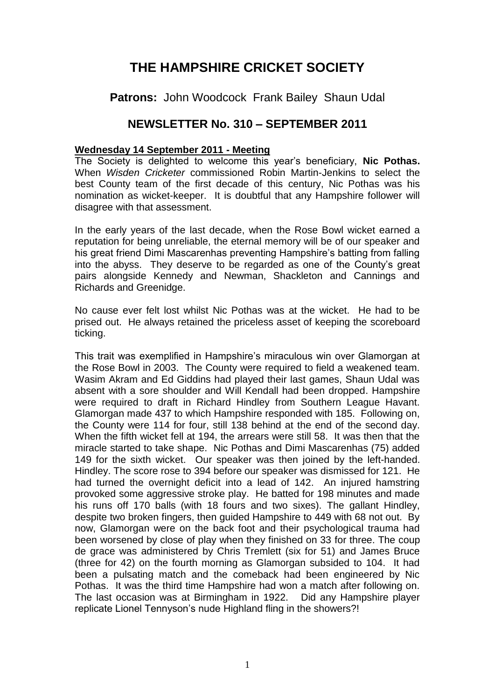## **THE HAMPSHIRE CRICKET SOCIETY**

**Patrons:** John Woodcock Frank Bailey Shaun Udal

## **NEWSLETTER No. 310 – SEPTEMBER 2011**

## **Wednesday 14 September 2011 - Meeting**

The Society is delighted to welcome this year's beneficiary, **Nic Pothas.**  When *Wisden Cricketer* commissioned Robin Martin-Jenkins to select the best County team of the first decade of this century, Nic Pothas was his nomination as wicket-keeper. It is doubtful that any Hampshire follower will disagree with that assessment.

In the early years of the last decade, when the Rose Bowl wicket earned a reputation for being unreliable, the eternal memory will be of our speaker and his great friend Dimi Mascarenhas preventing Hampshire's batting from falling into the abyss. They deserve to be regarded as one of the County's great pairs alongside Kennedy and Newman, Shackleton and Cannings and Richards and Greenidge.

No cause ever felt lost whilst Nic Pothas was at the wicket. He had to be prised out. He always retained the priceless asset of keeping the scoreboard ticking.

This trait was exemplified in Hampshire's miraculous win over Glamorgan at the Rose Bowl in 2003. The County were required to field a weakened team. Wasim Akram and Ed Giddins had played their last games, Shaun Udal was absent with a sore shoulder and Will Kendall had been dropped. Hampshire were required to draft in Richard Hindley from Southern League Havant. Glamorgan made 437 to which Hampshire responded with 185. Following on, the County were 114 for four, still 138 behind at the end of the second day. When the fifth wicket fell at 194, the arrears were still 58. It was then that the miracle started to take shape. Nic Pothas and Dimi Mascarenhas (75) added 149 for the sixth wicket. Our speaker was then joined by the left-handed. Hindley. The score rose to 394 before our speaker was dismissed for 121. He had turned the overnight deficit into a lead of 142. An injured hamstring provoked some aggressive stroke play. He batted for 198 minutes and made his runs off 170 balls (with 18 fours and two sixes). The gallant Hindley, despite two broken fingers, then guided Hampshire to 449 with 68 not out. By now, Glamorgan were on the back foot and their psychological trauma had been worsened by close of play when they finished on 33 for three. The coup de grace was administered by Chris Tremlett (six for 51) and James Bruce (three for 42) on the fourth morning as Glamorgan subsided to 104. It had been a pulsating match and the comeback had been engineered by Nic Pothas. It was the third time Hampshire had won a match after following on. The last occasion was at Birmingham in 1922. Did any Hampshire player replicate Lionel Tennyson's nude Highland fling in the showers?!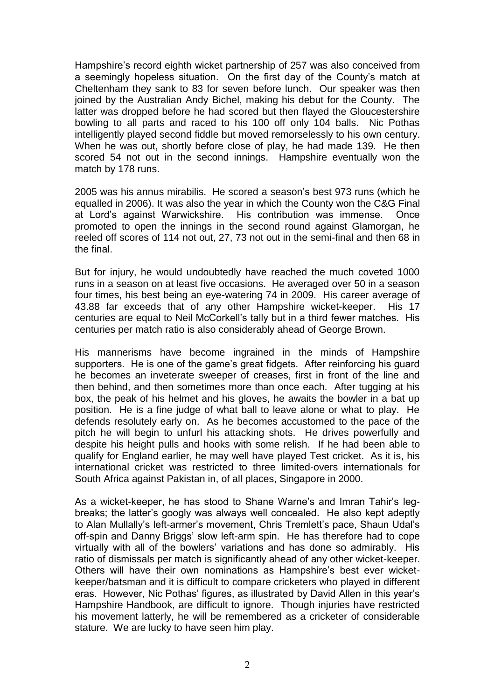Hampshire's record eighth wicket partnership of 257 was also conceived from a seemingly hopeless situation. On the first day of the County's match at Cheltenham they sank to 83 for seven before lunch. Our speaker was then joined by the Australian Andy Bichel, making his debut for the County. The latter was dropped before he had scored but then flayed the Gloucestershire bowling to all parts and raced to his 100 off only 104 balls. Nic Pothas intelligently played second fiddle but moved remorselessly to his own century. When he was out, shortly before close of play, he had made 139. He then scored 54 not out in the second innings. Hampshire eventually won the match by 178 runs.

2005 was his annus mirabilis. He scored a season's best 973 runs (which he equalled in 2006). It was also the year in which the County won the C&G Final at Lord's against Warwickshire. His contribution was immense. Once promoted to open the innings in the second round against Glamorgan, he reeled off scores of 114 not out, 27, 73 not out in the semi-final and then 68 in the final.

But for injury, he would undoubtedly have reached the much coveted 1000 runs in a season on at least five occasions. He averaged over 50 in a season four times, his best being an eye-watering 74 in 2009. His career average of 43.88 far exceeds that of any other Hampshire wicket-keeper. His 17 centuries are equal to Neil McCorkell's tally but in a third fewer matches. His centuries per match ratio is also considerably ahead of George Brown.

His mannerisms have become ingrained in the minds of Hampshire supporters. He is one of the game's great fidgets. After reinforcing his guard he becomes an inveterate sweeper of creases, first in front of the line and then behind, and then sometimes more than once each. After tugging at his box, the peak of his helmet and his gloves, he awaits the bowler in a bat up position. He is a fine judge of what ball to leave alone or what to play. He defends resolutely early on. As he becomes accustomed to the pace of the pitch he will begin to unfurl his attacking shots. He drives powerfully and despite his height pulls and hooks with some relish. If he had been able to qualify for England earlier, he may well have played Test cricket. As it is, his international cricket was restricted to three limited-overs internationals for South Africa against Pakistan in, of all places, Singapore in 2000.

As a wicket-keeper, he has stood to Shane Warne's and Imran Tahir's legbreaks; the latter's googly was always well concealed. He also kept adeptly to Alan Mullally's left-armer's movement, Chris Tremlett's pace, Shaun Udal's off-spin and Danny Briggs' slow left-arm spin. He has therefore had to cope virtually with all of the bowlers' variations and has done so admirably. His ratio of dismissals per match is significantly ahead of any other wicket-keeper. Others will have their own nominations as Hampshire's best ever wicketkeeper/batsman and it is difficult to compare cricketers who played in different eras. However, Nic Pothas' figures, as illustrated by David Allen in this year's Hampshire Handbook, are difficult to ignore. Though injuries have restricted his movement latterly, he will be remembered as a cricketer of considerable stature. We are lucky to have seen him play.